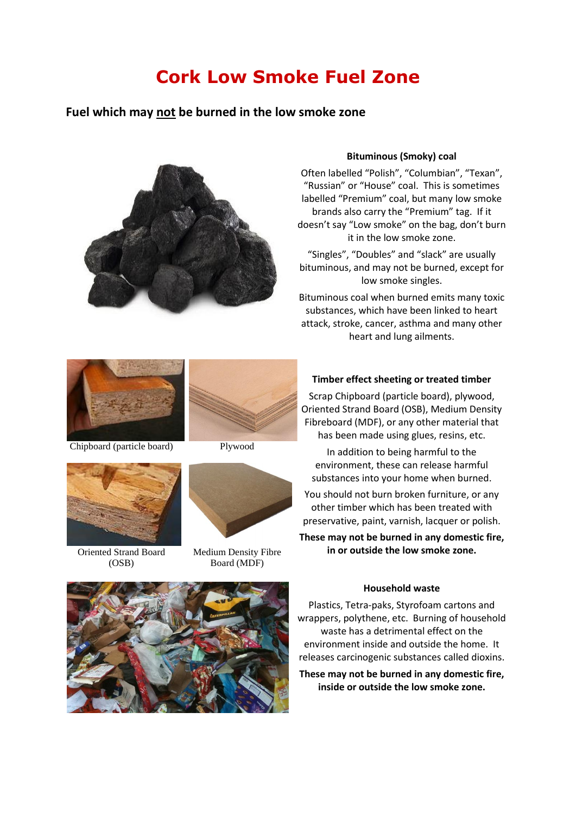# **Cork Low Smoke Fuel Zone**

# **Fuel which may not be burned in the low smoke zone**



#### **Bituminous (Smoky) coal**

Often labelled "Polish", "Columbian", "Texan", "Russian" or "House" coal. This is sometimes labelled "Premium" coal, but many low smoke brands also carry the "Premium" tag. If it doesn't say "Low smoke" on the bag, don't burn it in the low smoke zone.

"Singles", "Doubles" and "slack" are usually bituminous, and may not be burned, except for low smoke singles.

Bituminous coal when burned emits many toxic substances, which have been linked to heart attack, stroke, cancer, asthma and many other heart and lung ailments.



Chipboard (particle board) Plywood





Oriented Strand Board (OSB)



Medium Density Fibre Board (MDF)

### **Timber effect sheeting or treated timber**

Scrap Chipboard (particle board), plywood, Oriented Strand Board (OSB), Medium Density Fibreboard (MDF), or any other material that has been made using glues, resins, etc.

In addition to being harmful to the environment, these can release harmful substances into your home when burned.

You should not burn broken furniture, or any other timber which has been treated with preservative, paint, varnish, lacquer or polish.

**These may not be burned in any domestic fire, in or outside the low smoke zone.**

#### **Household waste**

Plastics, Tetra-paks, Styrofoam cartons and wrappers, polythene, etc. Burning of household waste has a detrimental effect on the environment inside and outside the home. It releases carcinogenic substances called dioxins.

**These may not be burned in any domestic fire, inside or outside the low smoke zone.**

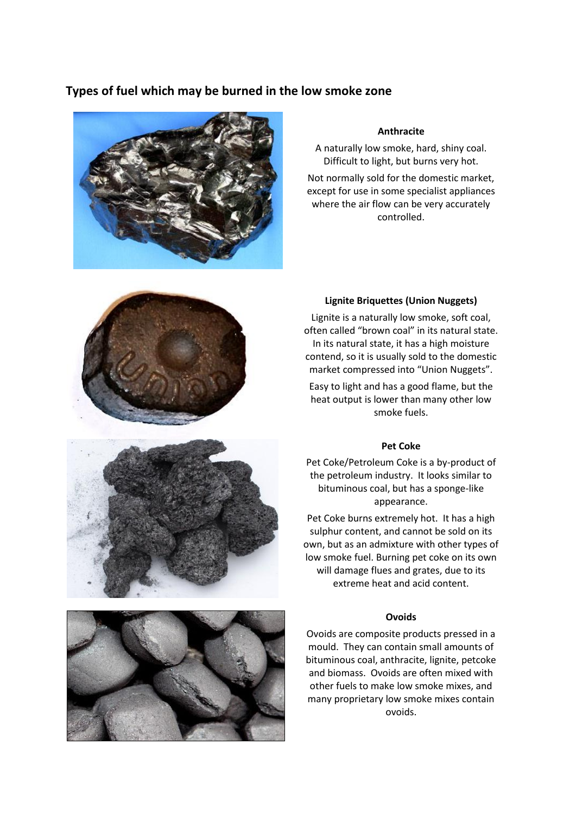# **Types of fuel which may be burned in the low smoke zone**



#### **Anthracite**

A naturally low smoke, hard, shiny coal. Difficult to light, but burns very hot.

Not normally sold for the domestic market, except for use in some specialist appliances where the air flow can be very accurately controlled.



#### **Lignite Briquettes (Union Nuggets)**

Lignite is a naturally low smoke, soft coal, often called "brown coal" in its natural state. In its natural state, it has a high moisture contend, so it is usually sold to the domestic market compressed into "Union Nuggets".

Easy to light and has a good flame, but the heat output is lower than many other low smoke fuels.

#### **Pet Coke**

Pet Coke/Petroleum Coke is a by-product of the petroleum industry. It looks similar to bituminous coal, but has a sponge-like appearance.

Pet Coke burns extremely hot. It has a high sulphur content, and cannot be sold on its own, but as an admixture with other types of low smoke fuel. Burning pet coke on its own will damage flues and grates, due to its extreme heat and acid content.

#### **Ovoids**

Ovoids are composite products pressed in a mould. They can contain small amounts of bituminous coal, anthracite, lignite, petcoke and biomass. Ovoids are often mixed with other fuels to make low smoke mixes, and many proprietary low smoke mixes contain ovoids.